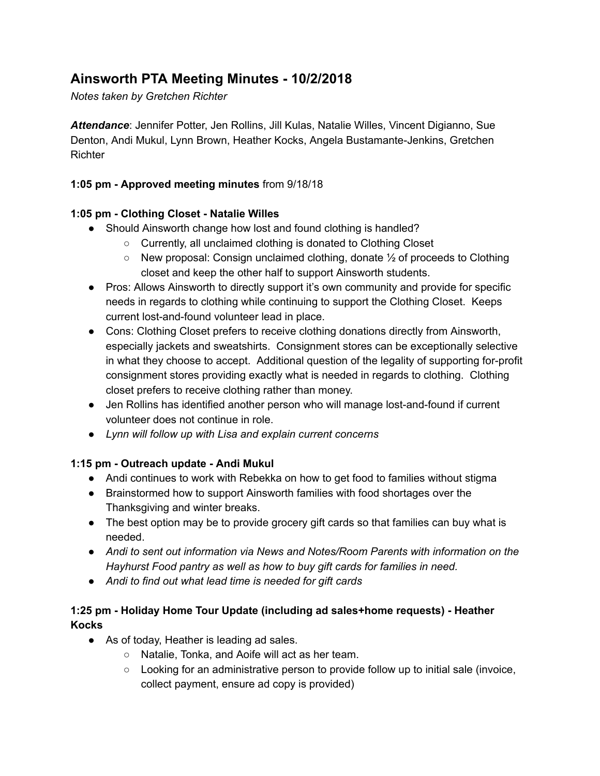# **Ainsworth PTA Meeting Minutes - 10/2/2018**

*Notes taken by Gretchen Richter*

*Attendance*: Jennifer Potter, Jen Rollins, Jill Kulas, Natalie Willes, Vincent Digianno, Sue Denton, Andi Mukul, Lynn Brown, Heather Kocks, Angela Bustamante-Jenkins, Gretchen **Richter** 

## **1:05 pm - Approved meeting minutes** from 9/18/18

### **1:05 pm - Clothing Closet - Natalie Willes**

- Should Ainsworth change how lost and found clothing is handled?
	- Currently, all unclaimed clothing is donated to Clothing Closet
	- $\circ$  New proposal: Consign unclaimed clothing, donate  $\frac{1}{2}$  of proceeds to Clothing closet and keep the other half to support Ainsworth students.
- Pros: Allows Ainsworth to directly support it's own community and provide for specific needs in regards to clothing while continuing to support the Clothing Closet. Keeps current lost-and-found volunteer lead in place.
- Cons: Clothing Closet prefers to receive clothing donations directly from Ainsworth, especially jackets and sweatshirts. Consignment stores can be exceptionally selective in what they choose to accept. Additional question of the legality of supporting for-profit consignment stores providing exactly what is needed in regards to clothing. Clothing closet prefers to receive clothing rather than money.
- Jen Rollins has identified another person who will manage lost-and-found if current volunteer does not continue in role.
- *● Lynn will follow up with Lisa and explain current concerns*

#### **1:15 pm - Outreach update - Andi Mukul**

- Andi continues to work with Rebekka on how to get food to families without stigma
- Brainstormed how to support Ainsworth families with food shortages over the Thanksgiving and winter breaks.
- The best option may be to provide grocery gift cards so that families can buy what is needed.
- *● Andi to sent out information via News and Notes/Room Parents with information on the Hayhurst Food pantry as well as how to buy gift cards for families in need.*
- *● Andi to find out what lead time is needed for gift cards*

# **1:25 pm - Holiday Home Tour Update (including ad sales+home requests) - Heather Kocks**

- As of today, Heather is leading ad sales.
	- Natalie, Tonka, and Aoife will act as her team.
	- $\circ$  Looking for an administrative person to provide follow up to initial sale (invoice, collect payment, ensure ad copy is provided)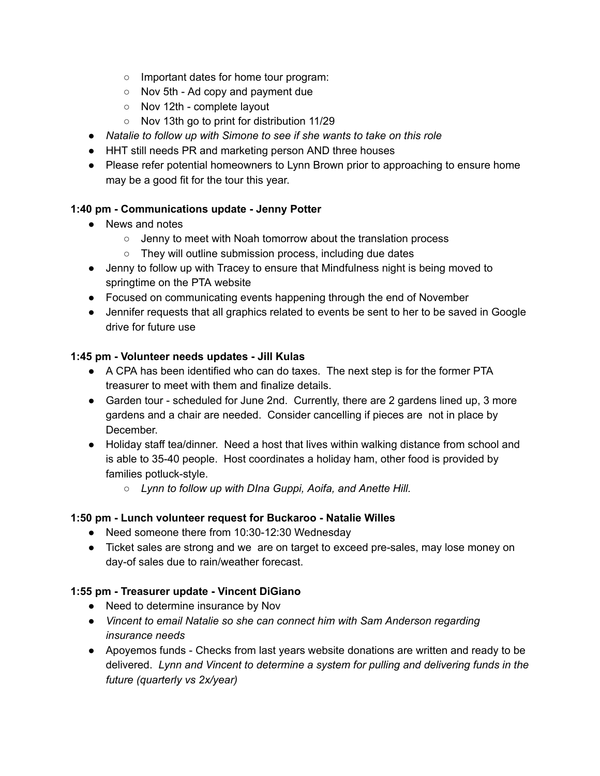- Important dates for home tour program:
- Nov 5th Ad copy and payment due
- Nov 12th complete layout
- Nov 13th go to print for distribution 11/29
- *● Natalie to follow up with Simone to see if she wants to take on this role*
- HHT still needs PR and marketing person AND three houses
- Please refer potential homeowners to Lynn Brown prior to approaching to ensure home may be a good fit for the tour this year.

### **1:40 pm - Communications update - Jenny Potter**

- News and notes
	- Jenny to meet with Noah tomorrow about the translation process
	- They will outline submission process, including due dates
- Jenny to follow up with Tracey to ensure that Mindfulness night is being moved to springtime on the PTA website
- Focused on communicating events happening through the end of November
- Jennifer requests that all graphics related to events be sent to her to be saved in Google drive for future use

#### **1:45 pm - Volunteer needs updates - Jill Kulas**

- A CPA has been identified who can do taxes. The next step is for the former PTA treasurer to meet with them and finalize details.
- Garden tour scheduled for June 2nd. Currently, there are 2 gardens lined up, 3 more gardens and a chair are needed. Consider cancelling if pieces are not in place by December.
- Holiday staff tea/dinner. Need a host that lives within walking distance from school and is able to 35-40 people. Host coordinates a holiday ham, other food is provided by families potluck-style.
	- *○ Lynn to follow up with DIna Guppi, Aoifa, and Anette Hill.*

# **1:50 pm - Lunch volunteer request for Buckaroo - Natalie Willes**

- Need someone there from 10:30-12:30 Wednesday
- Ticket sales are strong and we are on target to exceed pre-sales, may lose money on day-of sales due to rain/weather forecast.

# **1:55 pm - Treasurer update - Vincent DiGiano**

- Need to determine insurance by Nov
- *● Vincent to email Natalie so she can connect him with Sam Anderson regarding insurance needs*
- Apoyemos funds Checks from last years website donations are written and ready to be delivered. *Lynn and Vincent to determine a system for pulling and delivering funds in the future (quarterly vs 2x/year)*